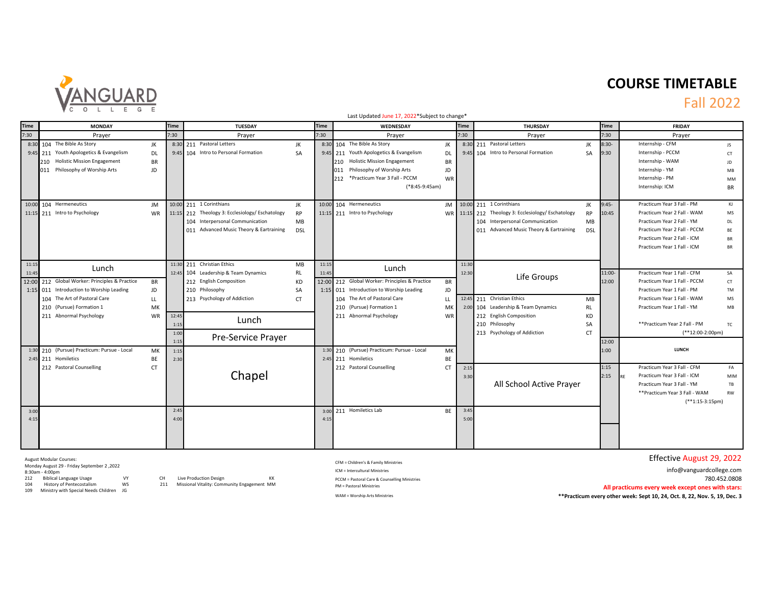

# **COURSE TIMETABLE**

### Fall 2022

|                | Last Updated June 17, 2022*Subject to change*                                                                                                                                                                            |                               |                                                                                                                                                                                                             |                |                                                                                                                                                                                                                                        |                        |                                                                                                                                                                                                    |                          |                                                                                                                                                                                                                                                  |  |  |  |
|----------------|--------------------------------------------------------------------------------------------------------------------------------------------------------------------------------------------------------------------------|-------------------------------|-------------------------------------------------------------------------------------------------------------------------------------------------------------------------------------------------------------|----------------|----------------------------------------------------------------------------------------------------------------------------------------------------------------------------------------------------------------------------------------|------------------------|----------------------------------------------------------------------------------------------------------------------------------------------------------------------------------------------------|--------------------------|--------------------------------------------------------------------------------------------------------------------------------------------------------------------------------------------------------------------------------------------------|--|--|--|
| <b>Time</b>    | <b>MONDAY</b>                                                                                                                                                                                                            | <b>Time</b>                   | <b>TUESDAY</b>                                                                                                                                                                                              | <b>Time</b>    | WEDNESDAY                                                                                                                                                                                                                              | <b>Time</b>            | <b>THURSDAY</b>                                                                                                                                                                                    |                          | <b>FRIDAY</b>                                                                                                                                                                                                                                    |  |  |  |
| 7:30           | Prayer                                                                                                                                                                                                                   | 7:30                          | Prayer                                                                                                                                                                                                      | 7:30           | Prayer                                                                                                                                                                                                                                 | 7:30                   | Prayer                                                                                                                                                                                             | 7:30                     | Prayer                                                                                                                                                                                                                                           |  |  |  |
|                | 8:30 104 The Bible As Story<br>JK<br>9:45 211 Youth Apologetics & Evangelism<br>DL<br>210 Holistic Mission Engagement<br><b>BR</b><br>011 Philosophy of Worship Arts<br>JD                                               |                               | 8:30 211 Pastoral Letters<br>JK<br>9:45 104 Intro to Personal Formation<br><b>SA</b>                                                                                                                        |                | 8:30 104 The Bible As Story<br>JK<br>9:45 211 Youth Apologetics & Evangelism<br>DL<br>210 Holistic Mission Engagement<br>BR<br>Philosophy of Worship Arts<br>JD<br>011<br>*Practicum Year 3 Fall - PCCM<br>212<br>WR<br>(*8:45-9:45am) |                        | 8:30 211 Pastoral Letters<br>JK<br>9:45 104 Intro to Personal Formation<br><b>SA</b>                                                                                                               | $8:30-$<br>9:30          | Internship - CFM<br>JS.<br>Internship - PCCM<br>CT<br>Internship - WAM<br>JD<br>Internship - YM<br>MB<br>Internship - PM<br>MM<br>Internship: ICM<br><b>BR</b>                                                                                   |  |  |  |
|                | 10:00 104 Hermeneutics<br>JM<br>11:15 211 Intro to Psychology<br><b>WR</b>                                                                                                                                               |                               | 10:00 211 1 Corinthians<br>JK<br>11:15 212 Theology 3: Ecclesiology/Eschatology<br><b>RP</b><br>104 Interpersonal Communication<br>MB<br>011 Advanced Music Theory & Eartraining<br><b>DSL</b>              |                | 10:00 104 Hermeneutics<br><b>JM</b><br>11:15 211 Intro to Psychology                                                                                                                                                                   |                        | 10:00 211 1 Corinthians<br>JK<br>WR 11:15 212 Theology 3: Ecclesiology/ Eschatology<br><b>RP</b><br>104 Interpersonal Communication<br>MB<br>011 Advanced Music Theory & Eartraining<br><b>DSL</b> | $9:45-$<br>10:45         | Practicum Year 3 Fall - PM<br>KJ<br>Practicum Year 2 Fall - WAM<br>MS<br>Practicum Year 2 Fall - YM<br>DL<br>Practicum Year 2 Fall - PCCM<br>BE<br>Practicum Year 2 Fall - ICM<br><b>BR</b><br><b>BR</b><br>Practicum Year 1 Fall - ICM          |  |  |  |
| 11:15<br>11:45 | Lunch<br>12:00 212 Global Worker: Principles & Practice<br>BR<br>1:15 011 Introduction to Worship Leading<br>JD<br>104 The Art of Pastoral Care<br>LL<br>210 (Pursue) Formation 1<br>MK<br>211 Abnormal Psychology<br>WR | 12:45<br>1:15<br>1:00<br>1:15 | 11:30 211 Christian Ethics<br>MB<br>12:45 104 Leadership & Team Dynamics<br>RL<br>212 English Composition<br>KD<br>210 Philosophy<br>SA<br>213 Psychology of Addiction<br>CT<br>Lunch<br>Pre-Service Prayer | 11:15<br>11:45 | Lunch<br>12:00 212 Global Worker: Principles & Practice<br><b>BR</b><br>JD<br>1:15 011 Introduction to Worship Leading<br>104 The Art of Pastoral Care<br>LL<br>210 (Pursue) Formation 1<br>MK<br>211 Abnormal Psychology<br>WR        | 11:30<br>12:30<br>2:00 | Life Groups<br>12:45 211 Christian Ethics<br>MB<br>104 Leadership & Team Dynamics<br>RL<br>212 English Composition<br>KD<br>210 Philosophy<br>SA<br>213 Psychology of Addiction<br>CT.             | 11:00-<br>12:00<br>12:00 | Practicum Year 1 Fall - CFM<br>SA<br>Practicum Year 1 Fall - PCCM<br>CT<br>Practicum Year 1 Fall - PM<br>TM<br>Practicum Year 1 Fall - WAM<br>MS<br>Practicum Year 1 Fall - YM<br>MB<br>**Practicum Year 2 Fall - PM<br>TC<br>$(**12:00-2:00pm)$ |  |  |  |
|                | 1:30 210 (Pursue) Practicum: Pursue - Local<br>MK<br>2:45 211 Homiletics<br>BE<br>212 Pastoral Counselling<br>CT                                                                                                         | 1:15<br>2:30                  | Chapel                                                                                                                                                                                                      |                | 1:30 210 (Pursue) Practicum: Pursue - Local<br>MK<br>2:45 211 Homiletics<br>BE<br>212 Pastoral Counselling<br><b>CT</b>                                                                                                                | 2:15<br>3:30           | All School Active Prayer                                                                                                                                                                           | 1:00<br>1:15<br>2:15     | <b>LUNCH</b><br>Practicum Year 3 Fall - CFM<br>FA<br>Practicum Year 3 Fall - ICM<br>MIM<br>Practicum Year 3 Fall - YM<br>TB<br>** Practicum Year 3 Fall - WAM<br><b>RW</b><br>$(**1:15-3:15pm)$                                                  |  |  |  |
| 3:00<br>4:15   |                                                                                                                                                                                                                          | 2:45<br>4:00                  |                                                                                                                                                                                                             | 4:15           | 3:00 211 Homiletics Lab<br>BE                                                                                                                                                                                                          | 3:45<br>5:00           |                                                                                                                                                                                                    |                          |                                                                                                                                                                                                                                                  |  |  |  |

Monday August 29 - Friday September 2 ,2022

Monday August 29 - Friday Septemb<br>8:30am - 4:00pm<br>212 - Biblical Language Usage<br>104 - History of Pentecostalism

109 Ministry with Special Needs Children JG

212 Biblical Language Usage VY CH Live Production Design KK 104 History of Pentecostalism WS 211 Missional Vitality: Community Engagement MM

CFM = Children's & Family Ministries

August Modular Courses: Effective August 29, 2022

ICM = Intercultural Ministries info@vanguardcollege.com PCCM = Pastoral Care & Counselling Ministries 780.452.0808 PM = Pastoral Ministries **All practicums every week except ones with stars:** WAM = Worship Arts Ministries **the Control of the Control of the Control of the Control of the Week: Sept 10, 24, Oct. 8, 22, Nov. 5, 19, Dec. 3**